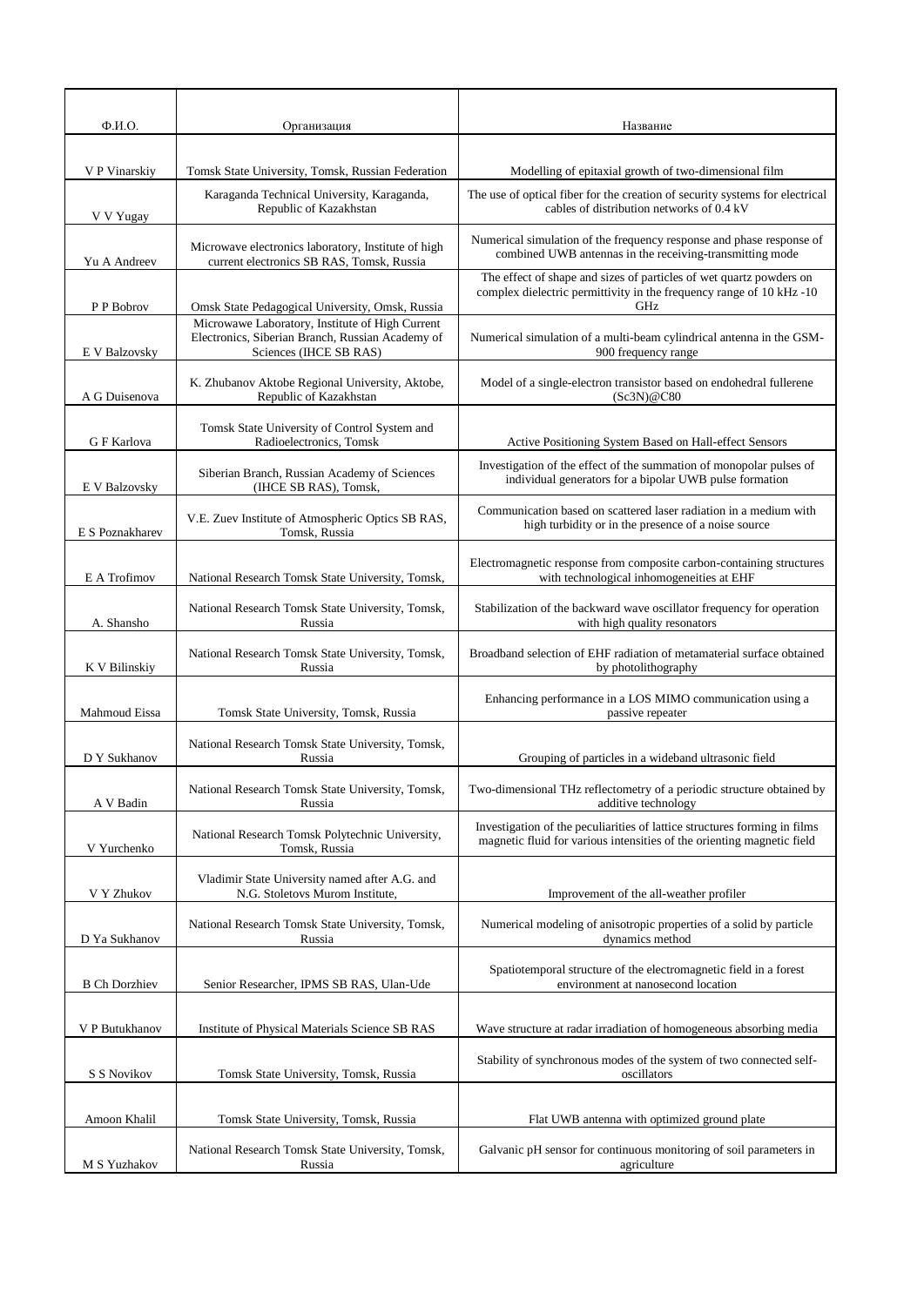| $\Phi$ <sub>M</sub> .O. | Организация                                                                                                                   | Название                                                                                                                                            |
|-------------------------|-------------------------------------------------------------------------------------------------------------------------------|-----------------------------------------------------------------------------------------------------------------------------------------------------|
|                         |                                                                                                                               |                                                                                                                                                     |
| V P Vinarskiy           | Tomsk State University, Tomsk, Russian Federation                                                                             | Modelling of epitaxial growth of two-dimensional film                                                                                               |
| V V Yugay               | Karaganda Technical University, Karaganda,<br>Republic of Kazakhstan                                                          | The use of optical fiber for the creation of security systems for electrical<br>cables of distribution networks of 0.4 kV                           |
| Yu A Andreev            | Microwave electronics laboratory, Institute of high<br>current electronics SB RAS, Tomsk, Russia                              | Numerical simulation of the frequency response and phase response of<br>combined UWB antennas in the receiving-transmitting mode                    |
| P P Bobrov              | Omsk State Pedagogical University, Omsk, Russia                                                                               | The effect of shape and sizes of particles of wet quartz powders on<br>complex dielectric permittivity in the frequency range of 10 kHz -10<br>GHz  |
| E V Balzovsky           | Microwawe Laboratory, Institute of High Current<br>Electronics, Siberian Branch, Russian Academy of<br>Sciences (IHCE SB RAS) | Numerical simulation of a multi-beam cylindrical antenna in the GSM-<br>900 frequency range                                                         |
| A G Duisenova           | K. Zhubanov Aktobe Regional University, Aktobe,<br>Republic of Kazakhstan                                                     | Model of a single-electron transistor based on endohedral fullerene<br>(Sc3N)@C80                                                                   |
| G F Karlova             | Tomsk State University of Control System and<br>Radioelectronics, Tomsk                                                       | Active Positioning System Based on Hall-effect Sensors                                                                                              |
| E V Balzovsky           | Siberian Branch, Russian Academy of Sciences<br>(IHCE SB RAS), Tomsk,                                                         | Investigation of the effect of the summation of monopolar pulses of<br>individual generators for a bipolar UWB pulse formation                      |
| E S Poznakharev         | V.E. Zuev Institute of Atmospheric Optics SB RAS,<br>Tomsk, Russia                                                            | Communication based on scattered laser radiation in a medium with<br>high turbidity or in the presence of a noise source                            |
| E A Trofimov            | National Research Tomsk State University, Tomsk,                                                                              | Electromagnetic response from composite carbon-containing structures<br>with technological inhomogeneities at EHF                                   |
| A. Shansho              | National Research Tomsk State University, Tomsk,<br>Russia                                                                    | Stabilization of the backward wave oscillator frequency for operation<br>with high quality resonators                                               |
| K V Bilinskiy           | National Research Tomsk State University, Tomsk,<br>Russia                                                                    | Broadband selection of EHF radiation of metamaterial surface obtained<br>by photolithography                                                        |
| Mahmoud Eissa           | Tomsk State University, Tomsk, Russia                                                                                         | Enhancing performance in a LOS MIMO communication using a<br>passive repeater                                                                       |
| D Y Sukhanov            | National Research Tomsk State University, Tomsk,<br>Russia                                                                    | Grouping of particles in a wideband ultrasonic field                                                                                                |
| A V Badin               | National Research Tomsk State University, Tomsk,<br>Russia                                                                    | Two-dimensional THz reflectometry of a periodic structure obtained by<br>additive technology                                                        |
| V Yurchenko             | National Research Tomsk Polytechnic University,<br>Tomsk, Russia                                                              | Investigation of the peculiarities of lattice structures forming in films<br>magnetic fluid for various intensities of the orienting magnetic field |
| V Y Zhukov              | Vladimir State University named after A.G. and<br>N.G. Stoletovs Murom Institute,                                             | Improvement of the all-weather profiler                                                                                                             |
| D Ya Sukhanov           | National Research Tomsk State University, Tomsk,<br>Russia                                                                    | Numerical modeling of anisotropic properties of a solid by particle<br>dynamics method                                                              |
| <b>B</b> Ch Dorzhiev    | Senior Researcher, IPMS SB RAS, Ulan-Ude                                                                                      | Spatiotemporal structure of the electromagnetic field in a forest<br>environment at nanosecond location                                             |
| V P Butukhanov          | Institute of Physical Materials Science SB RAS                                                                                | Wave structure at radar irradiation of homogeneous absorbing media                                                                                  |
| S S Novikov             | Tomsk State University, Tomsk, Russia                                                                                         | Stability of synchronous modes of the system of two connected self-<br>oscillators                                                                  |
| Amoon Khalil            | Tomsk State University, Tomsk, Russia                                                                                         | Flat UWB antenna with optimized ground plate                                                                                                        |
| M S Yuzhakov            | National Research Tomsk State University, Tomsk,<br>Russia                                                                    | Galvanic pH sensor for continuous monitoring of soil parameters in<br>agriculture                                                                   |